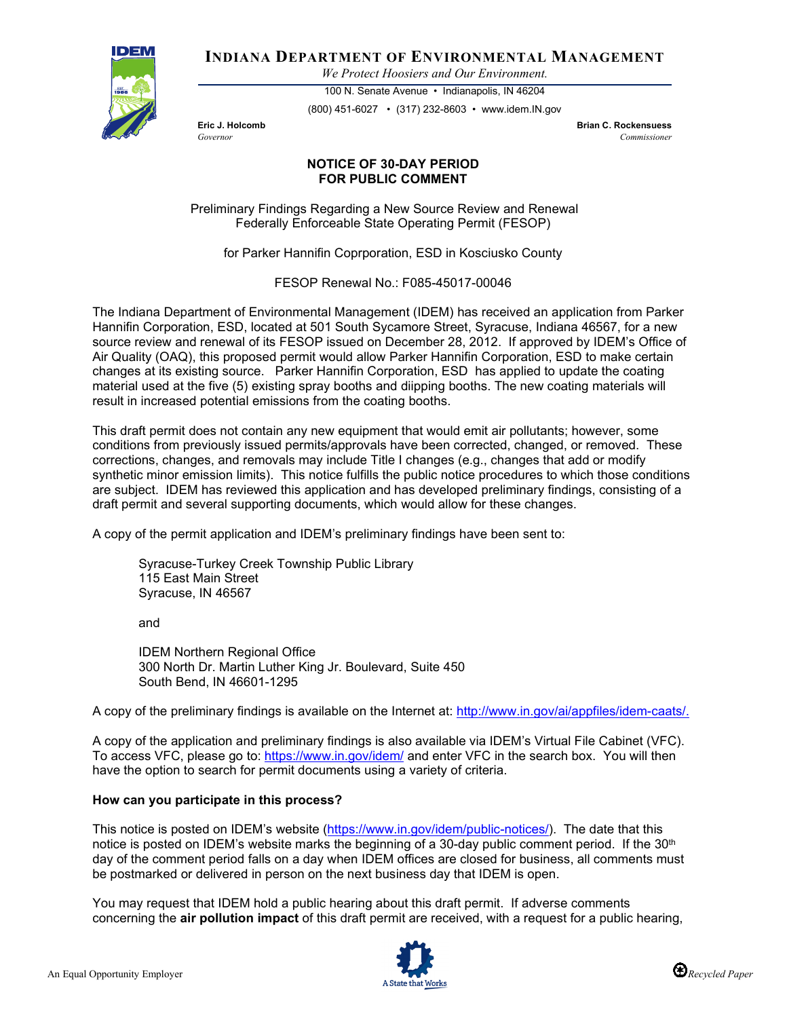

**INDIANA DEPARTMENT OF ENVIRONMENTAL MANAGEMENT**

*We Protect Hoosiers and Our Environment.*

100 N. Senate Avenue • Indianapolis, IN 46204 (800) 451-6027 • (317) 232-8603 • www.idem.IN.gov

**Eric J. Holcomb Brian C. Rockensuess** *Governor Commissioner* 

## **NOTICE OF 30-DAY PERIOD FOR PUBLIC COMMENT**

Preliminary Findings Regarding a New Source Review and Renewal Federally Enforceable State Operating Permit (FESOP)

for Parker Hannifin Coprporation, ESD in Kosciusko County

FESOP Renewal No.: F085-45017-00046

The Indiana Department of Environmental Management (IDEM) has received an application from Parker Hannifin Corporation, ESD, located at 501 South Sycamore Street, Syracuse, Indiana 46567, for a new source review and renewal of its FESOP issued on December 28, 2012. If approved by IDEM's Office of Air Quality (OAQ), this proposed permit would allow Parker Hannifin Corporation, ESD to make certain changes at its existing source. Parker Hannifin Corporation, ESD has applied to update the coating material used at the five (5) existing spray booths and diipping booths. The new coating materials will result in increased potential emissions from the coating booths.

This draft permit does not contain any new equipment that would emit air pollutants; however, some conditions from previously issued permits/approvals have been corrected, changed, or removed. These corrections, changes, and removals may include Title I changes (e.g., changes that add or modify synthetic minor emission limits). This notice fulfills the public notice procedures to which those conditions are subject. IDEM has reviewed this application and has developed preliminary findings, consisting of a draft permit and several supporting documents, which would allow for these changes.

A copy of the permit application and IDEM's preliminary findings have been sent to:

Syracuse-Turkey Creek Township Public Library 115 East Main Street Syracuse, IN 46567

and

IDEM Northern Regional Office 300 North Dr. Martin Luther King Jr. Boulevard, Suite 450 South Bend, IN 46601-1295

A copy of the preliminary findings is available on the Internet at: [http://www.in.gov/ai/appfiles/idem-caats/.](http://www.in.gov/ai/appfiles/idem-caats/)

A copy of the application and preliminary findings is also available via IDEM's Virtual File Cabinet (VFC). To access VFC, please go to:<https://www.in.gov/idem/> and enter VFC in the search box. You will then have the option to search for permit documents using a variety of criteria.

## **How can you participate in this process?**

This notice is posted on IDEM's website [\(https://www.in.gov/idem/public-notices/\)](https://www.in.gov/idem/public-notices/). The date that this notice is posted on IDEM's website marks the beginning of a 30-day public comment period. If the 30<sup>th</sup> day of the comment period falls on a day when IDEM offices are closed for business, all comments must be postmarked or delivered in person on the next business day that IDEM is open.

You may request that IDEM hold a public hearing about this draft permit. If adverse comments concerning the **air pollution impact** of this draft permit are received, with a request for a public hearing,